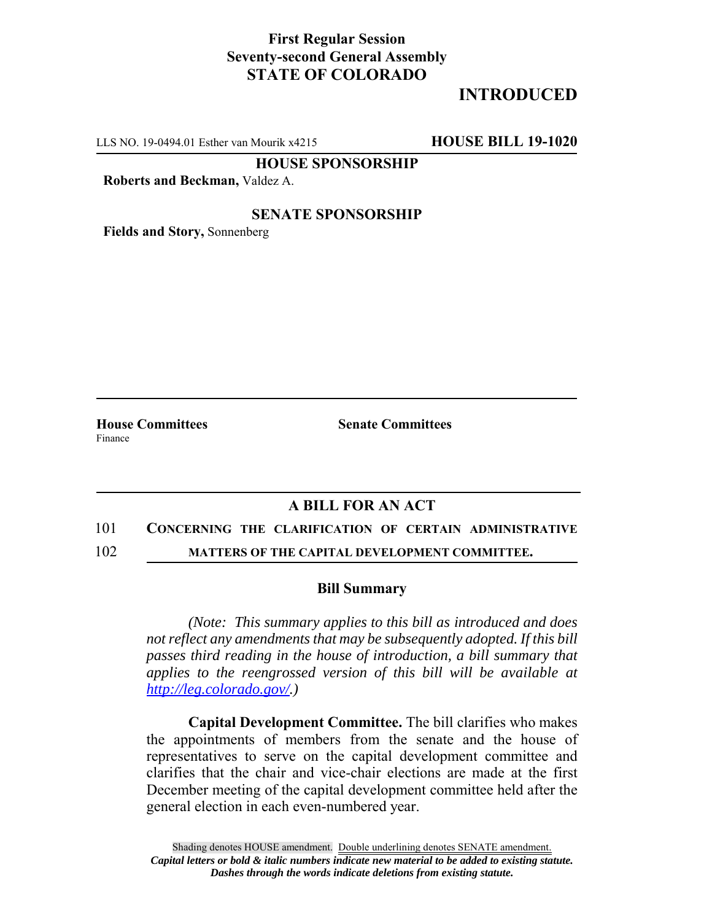## **First Regular Session Seventy-second General Assembly STATE OF COLORADO**

# **INTRODUCED**

LLS NO. 19-0494.01 Esther van Mourik x4215 **HOUSE BILL 19-1020**

**HOUSE SPONSORSHIP**

**Roberts and Beckman,** Valdez A.

### **SENATE SPONSORSHIP**

**Fields and Story,** Sonnenberg

Finance

**House Committees Senate Committees** 

### **A BILL FOR AN ACT**

#### 101 **CONCERNING THE CLARIFICATION OF CERTAIN ADMINISTRATIVE**

102 **MATTERS OF THE CAPITAL DEVELOPMENT COMMITTEE.**

#### **Bill Summary**

*(Note: This summary applies to this bill as introduced and does not reflect any amendments that may be subsequently adopted. If this bill passes third reading in the house of introduction, a bill summary that applies to the reengrossed version of this bill will be available at http://leg.colorado.gov/.)*

**Capital Development Committee.** The bill clarifies who makes the appointments of members from the senate and the house of representatives to serve on the capital development committee and clarifies that the chair and vice-chair elections are made at the first December meeting of the capital development committee held after the general election in each even-numbered year.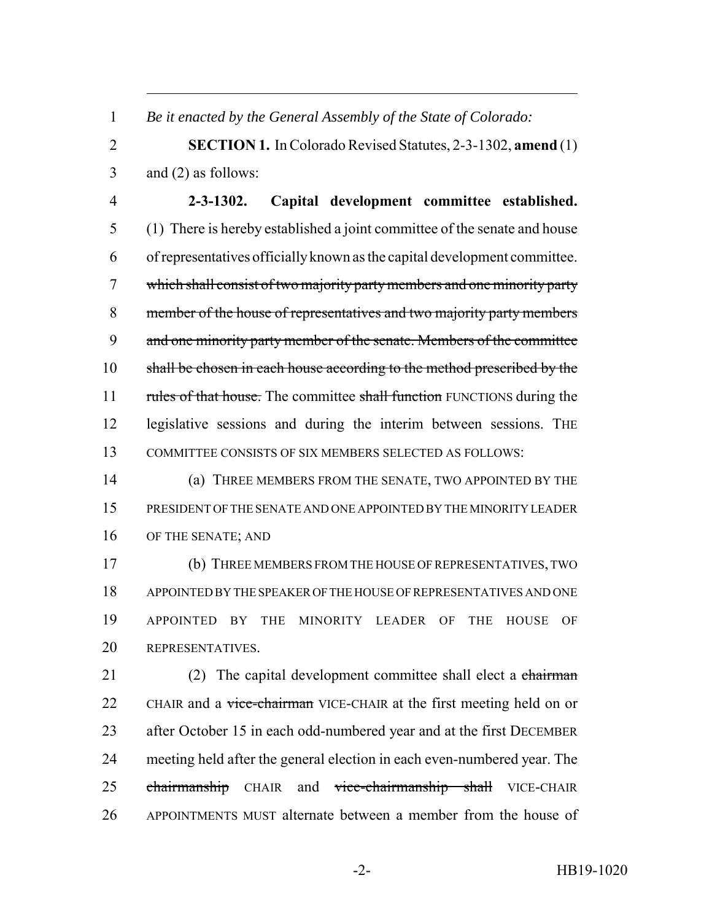*Be it enacted by the General Assembly of the State of Colorado:*

 **SECTION 1.** In Colorado Revised Statutes, 2-3-1302, **amend** (1) and (2) as follows:

 **2-3-1302. Capital development committee established.** (1) There is hereby established a joint committee of the senate and house of representatives officially known as the capital development committee. which shall consist of two majority party members and one minority party member of the house of representatives and two majority party members 9 and one minority party member of the senate. Members of the committee 10 shall be chosen in each house according to the method prescribed by the 11 rules of that house. The committee shall function FUNCTIONS during the legislative sessions and during the interim between sessions. THE COMMITTEE CONSISTS OF SIX MEMBERS SELECTED AS FOLLOWS:

 (a) THREE MEMBERS FROM THE SENATE, TWO APPOINTED BY THE PRESIDENT OF THE SENATE AND ONE APPOINTED BY THE MINORITY LEADER OF THE SENATE; AND

 (b) THREE MEMBERS FROM THE HOUSE OF REPRESENTATIVES, TWO APPOINTED BY THE SPEAKER OF THE HOUSE OF REPRESENTATIVES AND ONE APPOINTED BY THE MINORITY LEADER OF THE HOUSE OF REPRESENTATIVES.

21 (2) The capital development committee shall elect a chairman 22 CHAIR and a vice-chairman VICE-CHAIR at the first meeting held on or after October 15 in each odd-numbered year and at the first DECEMBER meeting held after the general election in each even-numbered year. The 25 chairmanship CHAIR and vice-chairmanship shall VICE-CHAIR APPOINTMENTS MUST alternate between a member from the house of